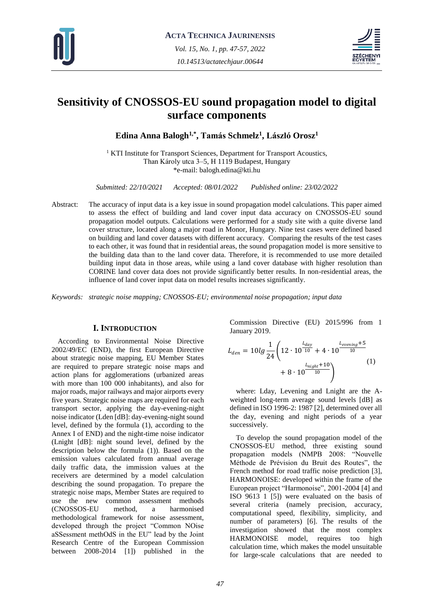



# **Sensitivity of CNOSSOS-EU sound propagation model to digital surface components**

**Edina Anna Balogh1,\* , Tamás Schmelz<sup>1</sup> , László Orosz<sup>1</sup>**

<sup>1</sup> KTI Institute for Transport Sciences, Department for Transport Acoustics, Than Károly utca 3–5, H 1119 Budapest, Hungary \*e-mail: balogh.edina@kti.hu

*Submitted: 22/10/2021 Accepted: 08/01/2022 Published online: 23/02/2022*

Abstract: The accuracy of input data is a key issue in sound propagation model calculations. This paper aimed to assess the effect of building and land cover input data accuracy on CNOSSOS-EU sound propagation model outputs. Calculations were performed for a study site with a quite diverse land cover structure, located along a major road in Monor, Hungary. Nine test cases were defined based on building and land cover datasets with different accuracy. Comparing the results of the test cases to each other, it was found that in residential areas, the sound propagation model is more sensitive to the building data than to the land cover data. Therefore, it is recommended to use more detailed building input data in those areas, while using a land cover database with higher resolution than CORINE land cover data does not provide significantly better results. In non-residential areas, the influence of land cover input data on model results increases significantly.

*Keywords: strategic noise mapping; CNOSSOS-EU; environmental noise propagation; input data*

# **I. INTRODUCTION**

According to Environmental Noise Directive 2002/49/EC (END), the first European Directive about strategic noise mapping, EU Member States are required to prepare strategic noise maps and action plans for agglomerations (urbanized areas with more than 100 000 inhabitants), and also for major roads, major railways and major airports every five years. Strategic noise maps are required for each transport sector, applying the day-evening-night noise indicator (Lden [dB]: day-evening-night sound level, defined by the formula (1), according to the Annex I of END) and the night-time noise indicator (Lnight [dB]: night sound level, defined by the description below the formula (1)). Based on the emission values calculated from annual average daily traffic data, the immission values at the receivers are determined by a model calculation describing the sound propagation. To prepare the strategic noise maps, Member States are required to use the new common assessment methods (CNOSSOS-EU method, a harmonised methodological framework for noise assessment, developed through the project "Common NOise aSSessment methOdS in the EU" lead by the Joint Research Centre of the European Commission between 2008-2014 [1]) published in the

Commission Directive (EU) 2015/996 from 1 January 2019.

$$
L_{den} = 10lg \frac{1}{24} \left( 12 \cdot 10^{\frac{L_{day}}{10}} + 4 \cdot 10^{\frac{L_{evening}+5}{10}} + 8 \cdot 10^{\frac{L_{night}+10}{10}} \right)
$$
 (1)

where: Lday, Levening and Lnight are the Aweighted long-term average sound levels [dB] as defined in ISO 1996-2: 1987 [2], determined over all the day, evening and night periods of a year successively.

To develop the sound propagation model of the CNOSSOS-EU method, three existing sound propagation models (NMPB 2008: "Nouvelle Méthode de Prévision du Bruit des Routes", the French method for road traffic noise prediction [3], HARMONOISE: developed within the frame of the European project "Harmonoise", 2001-2004 [4] and ISO 9613 1 [5]) were evaluated on the basis of several criteria (namely precision, accuracy, computational speed, flexibility, simplicity, and number of parameters) [6]. The results of the investigation showed that the most complex HARMONOISE model, requires too high calculation time, which makes the model unsuitable for large-scale calculations that are needed to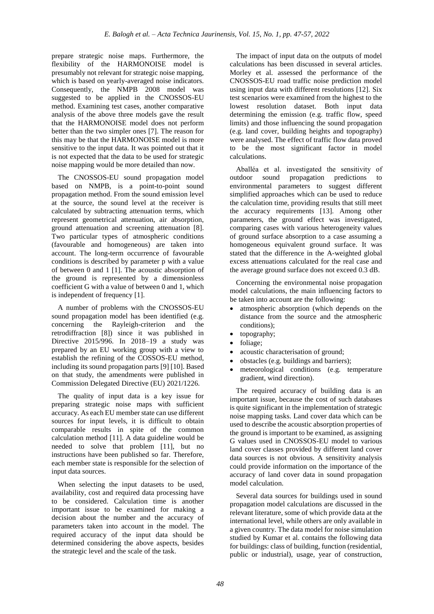prepare strategic noise maps. Furthermore, the flexibility of the HARMONOISE model is presumably not relevant for strategic noise mapping, which is based on yearly-averaged noise indicators. Consequently, the NMPB 2008 model was suggested to be applied in the CNOSSOS-EU method. Examining test cases, another comparative analysis of the above three models gave the result that the HARMONOISE model does not perform better than the two simpler ones [7]. The reason for this may be that the HARMONOISE model is more sensitive to the input data. It was pointed out that it is not expected that the data to be used for strategic noise mapping would be more detailed than now.

The CNOSSOS-EU sound propagation model based on NMPB, is a point-to-point sound propagation method. From the sound emission level at the source, the sound level at the receiver is calculated by subtracting attenuation terms, which represent geometrical attenuation, air absorption, ground attenuation and screening attenuation [8]. Two particular types of atmospheric conditions (favourable and homogeneous) are taken into account. The long-term occurrence of favourable conditions is described by parameter p with a value of between 0 and 1 [1]. The acoustic absorption of the ground is represented by a dimensionless coefficient G with a value of between 0 and 1, which is independent of frequency [1].

A number of problems with the CNOSSOS-EU sound propagation model has been identified (e.g. concerning the Rayleigh-criterion and the retrodiffraction [8]) since it was published in Directive 2015/996. In 2018–19 a study was prepared by an EU working group with a view to establish the refining of the COSSOS-EU method, including its sound propagation parts [9] [10]. Based on that study, the amendments were published in Commission Delegated Directive (EU) 2021/1226.

The quality of input data is a key issue for preparing strategic noise maps with sufficient accuracy. As each EU member state can use different sources for input levels, it is difficult to obtain comparable results in spite of the common calculation method [11]. A data guideline would be needed to solve that problem [11], but no instructions have been published so far. Therefore, each member state is responsible for the selection of input data sources.

When selecting the input datasets to be used, availability, cost and required data processing have to be considered. Calculation time is another important issue to be examined for making a decision about the number and the accuracy of parameters taken into account in the model. The required accuracy of the input data should be determined considering the above aspects, besides the strategic level and the scale of the task.

The impact of input data on the outputs of model calculations has been discussed in several articles. Morley et al. assessed the performance of the CNOSSOS-EU road traffic noise prediction model using input data with different resolutions [12]. Six test scenarios were examined from the highest to the lowest resolution dataset. Both input data determining the emission (e.g. traffic flow, speed limits) and those influencing the sound propagation (e.g. land cover, building heights and topography) were analysed. The effect of traffic flow data proved to be the most significant factor in model calculations.

Aballéa et al. investigated the sensitivity of outdoor sound propagation predictions to environmental parameters to suggest different simplified approaches which can be used to reduce the calculation time, providing results that still meet the accuracy requirements [13]. Among other parameters, the ground effect was investigated, comparing cases with various heterogeneity values of ground surface absorption to a case assuming a homogeneous equivalent ground surface. It was stated that the difference in the A-weighted global excess attenuations calculated for the real case and the average ground surface does not exceed 0.3 dB.

Concerning the environmental noise propagation model calculations, the main influencing factors to be taken into account are the following:

- atmospheric absorption (which depends on the distance from the source and the atmospheric conditions);
- topography:
- foliage;
- acoustic characterisation of ground;
- obstacles (e.g. buildings and barriers);
- meteorological conditions (e.g. temperature gradient, wind direction).

The required accuracy of building data is an important issue, because the cost of such databases is quite significant in the implementation of strategic noise mapping tasks. Land cover data which can be used to describe the acoustic absorption properties of the ground is important to be examined, as assigning G values used in CNOSSOS-EU model to various land cover classes provided by different land cover data sources is not obvious. A sensitivity analysis could provide information on the importance of the accuracy of land cover data in sound propagation model calculation.

Several data sources for buildings used in sound propagation model calculations are discussed in the relevant literature, some of which provide data at the international level, while others are only available in a given country. The data model for noise simulation studied by Kumar et al. contains the following data for buildings: class of building, function (residential, public or industrial), usage, year of construction,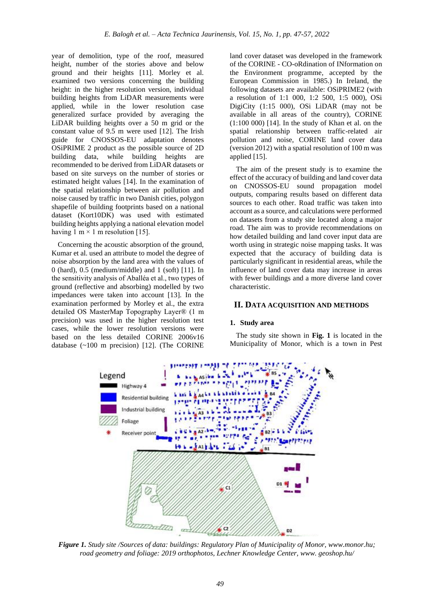year of demolition, type of the roof, measured height, number of the stories above and below ground and their heights [11]. Morley et al. examined two versions concerning the building height: in the higher resolution version, individual building heights from LiDAR measurements were applied, while in the lower resolution case generalized surface provided by averaging the LiDAR building heights over a 50 m grid or the constant value of 9.5 m were used [12]. The Irish guide for CNOSSOS-EU adaptation denotes OSiPRIME 2 product as the possible source of 2D building data, while building heights are recommended to be derived from LiDAR datasets or based on site surveys on the number of stories or estimated height values [14]. In the examination of the spatial relationship between air pollution and noise caused by traffic in two Danish cities, polygon shapefile of building footprints based on a national dataset (Kort10DK) was used with estimated building heights applying a national elevation model having 1 m  $\times$  1 m resolution [15].

Concerning the acoustic absorption of the ground, Kumar et al. used an attribute to model the degree of noise absorption by the land area with the values of 0 (hard), 0.5 (medium/middle) and 1 (soft) [11]. In the sensitivity analysis of Aballéa et al., two types of ground (reflective and absorbing) modelled by two impedances were taken into account [13]. In the examination performed by Morley et al., the extra detailed OS MasterMap Topography Layer® (1 m precision) was used in the higher resolution test cases, while the lower resolution versions were based on the less detailed CORINE 2006v16 database (~100 m precision) [12]. (The CORINE

land cover dataset was developed in the framework of the CORINE - CO-oRdination of INformation on the Environment programme, accepted by the European Commission in 1985.) In Ireland, the following datasets are available: OSiPRIME2 (with a resolution of 1:1 000, 1:2 500, 1:5 000), OSi DigiCity (1:15 000), OSi LiDAR (may not be available in all areas of the country), CORINE (1:100 000) [14]. In the study of Khan et al. on the spatial relationship between traffic-related air pollution and noise, CORINE land cover data (version 2012) with a spatial resolution of 100 m was applied [15].

The aim of the present study is to examine the effect of the accuracy of building and land cover data on CNOSSOS-EU sound propagation model outputs, comparing results based on different data sources to each other. Road traffic was taken into account as a source, and calculations were performed on datasets from a study site located along a major road. The aim was to provide recommendations on how detailed building and land cover input data are worth using in strategic noise mapping tasks. It was expected that the accuracy of building data is particularly significant in residential areas, while the influence of land cover data may increase in areas with fewer buildings and a more diverse land cover characteristic.

#### **II. DATA ACQUISITION AND METHODS**

#### **1. Study area**

The study site shown in **Fig. 1** is located in the Municipality of Monor, which is a town in Pest



*Figure 1. Study site /Sources of data: buildings: Regulatory Plan of Municipality of Monor, www.monor.hu; road geometry and foliage: 2019 orthophotos, Lechner Knowledge Center, www. geoshop.hu/*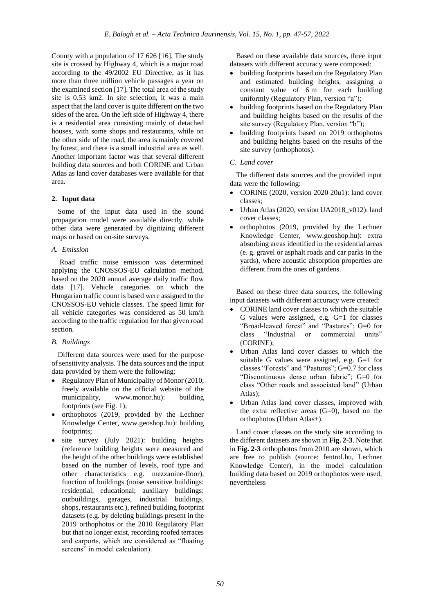County with a population of 17 626 [16]. The study site is crossed by Highway 4, which is a major road according to the 49/2002 EU Directive, as it has more than three million vehicle passages a year on the examined section [17]. The total area of the study site is 0.53 km2. In site selection, it was a main aspect that the land cover is quite different on the two sides of the area. On the left side of Highway 4, there is a residential area consisting mainly of detached houses, with some shops and restaurants, while on the other side of the road, the area is mainly covered by forest, and there is a small industrial area as well. Another important factor was that several different building data sources and both CORINE and Urban Atlas as land cover databases were available for that area.

# **2. Input data**

Some of the input data used in the sound propagation model were available directly, while other data were generated by digitizing different maps or based on on-site surveys.

# *A. Emission*

Road traffic noise emission was determined applying the CNOSSOS-EU calculation method, based on the 2020 annual average daily traffic flow data [17]. Vehicle categories on which the Hungarian traffic count is based were assigned to the CNOSSOS-EU vehicle classes. The speed limit for all vehicle categories was considered as 50 km/h according to the traffic regulation for that given road section.

# *B. Buildings*

Different data sources were used for the purpose of sensitivity analysis. The data sources and the input data provided by them were the following:

- Regulatory Plan of Municipality of Monor (2010, freely available on the official website of the municipality, www.monor.hu): building footprints (see Fig. 1);
- orthophotos (2019, provided by the Lechner Knowledge Center, www.geoshop.hu): building footprints;
- site survey (July 2021): building heights (reference building heights were measured and the height of the other buildings were established based on the number of levels, roof type and other characteristics e.g. mezzanine-floor), function of buildings (noise sensitive buildings: residential, educational; auxiliary buildings: outbuildings, garages, industrial buildings, shops, restaurants etc.), refined building footprint datasets (e.g. by deleting buildings present in the 2019 orthophotos or the 2010 Regulatory Plan but that no longer exist, recording roofed terraces and carports, which are considered as "floating screens" in model calculation).

Based on these available data sources, three input datasets with different accuracy were composed:

- building footprints based on the Regulatory Plan and estimated building heights, assigning a constant value of 6 m for each building uniformly (Regulatory Plan, version "a");
- building footprints based on the Regulatory Plan and building heights based on the results of the site survey (Regulatory Plan, version "b");
- building footprints based on 2019 orthophotos and building heights based on the results of the site survey (orthophotos).

# *C. Land cover*

The different data sources and the provided input data were the following:

- CORINE (2020, version 2020 20u1): land cover classes;
- Urban Atlas (2020, version UA2018\_v012): land cover classes;
- orthophotos (2019, provided by the Lechner Knowledge Center, www.geoshop.hu): extra absorbing areas identified in the residential areas (e. g. gravel or asphalt roads and car parks in the yards), where acoustic absorption properties are different from the ones of gardens.

Based on these three data sources, the following input datasets with different accuracy were created:

- CORINE land cover classes to which the suitable G values were assigned, e.g.  $G=1$  for classes "Broad-leaved forest" and "Pastures"; G=0 for class "Industrial or commercial units" (CORINE);
- Urban Atlas land cover classes to which the suitable G values were assigned, e.g. G=1 for classes "Forests" and "Pastures"; G=0.7 for class "Discontinuous dense urban fabric"; G=0 for class "Other roads and associated land" (Urban Atlas);
- Urban Atlas land cover classes, improved with the extra reflective areas (G=0), based on the orthophotos (Urban Atlas+).

Land cover classes on the study site according to the different datasets are shown in **Fig. 2-3**. Note that in **Fig. 2-3** orthophotos from 2010 are shown, which are free to publish (source: fentrol.hu, Lechner Knowledge Center), in the model calculation building data based on 2019 orthophotos were used, nevertheless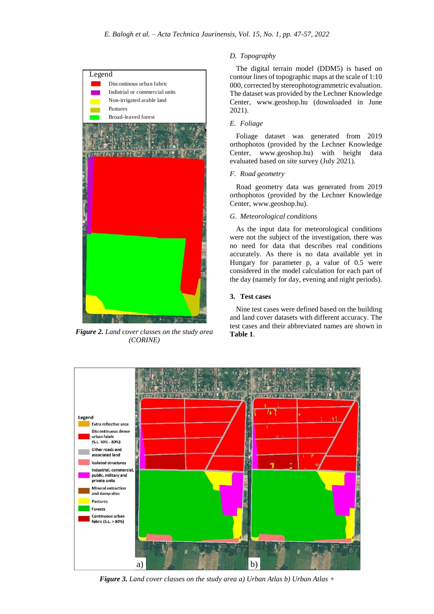

*Figure 2. Land cover classes on the study area (CORINE)*

# *D. Topography*

The digital terrain model (DDM5) is based on contour lines of topographic maps at the scale of 1:10 000, corrected by stereophotogrammetric evaluation. The dataset was provided by the Lechner Knowledge Center, www.geoshop.hu (downloaded in June 2021).

## *E. Foliage*

Foliage dataset was generated from 2019 orthophotos (provided by the Lechner Knowledge Center, www.geoshop.hu) with height data evaluated based on site survey (July 2021).

#### *F. Road geometry*

Road geometry data was generated from 2019 orthophotos (provided by the Lechner Knowledge Center, www.geoshop.hu).

#### *G. Meteorological conditions*

As the input data for meteorological conditions were not the subject of the investigation, there was no need for data that describes real conditions accurately. As there is no data available yet in Hungary for parameter p, a value of 0.5 were considered in the model calculation for each part of the day (namely for day, evening and night periods).

## **3. Test cases**

Nine test cases were defined based on the building and land cover datasets with different accuracy. The test cases and their abbreviated names are shown in **Table 1**.



*51 Figure 3. Land cover classes on the study area a) Urban Atlas b) Urban Atlas +*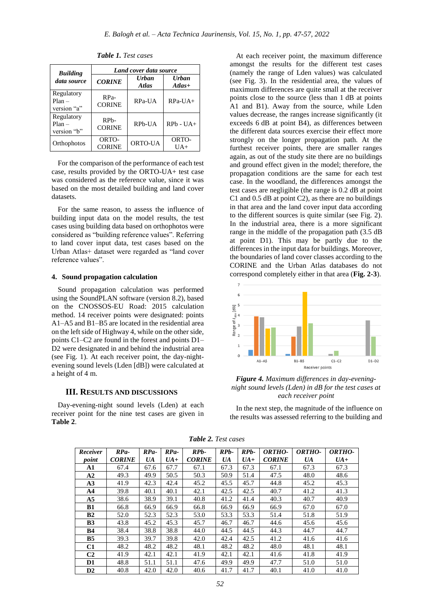| <b>Building</b>                       | Land cover data source  |                              |                          |  |  |
|---------------------------------------|-------------------------|------------------------------|--------------------------|--|--|
| data source                           | <b>CORINE</b>           | <b>Urban</b><br><b>Atlas</b> | <b>Urban</b><br>$Atlas+$ |  |  |
| Regulatory<br>$Plan -$<br>version "a" | $RPa-$<br><b>CORINE</b> | RPa-UA                       | $RPa-UA+$                |  |  |
| Regulatory<br>$Plan -$<br>version "b" | $RPh-$<br><b>CORINE</b> | RPb-UA                       | $RPh - UA +$             |  |  |
| Orthophotos                           | ORTO-<br><b>CORINE</b>  | ORTO-UA                      | ORTO-<br>$UA+$           |  |  |

*Table 1. Test cases*

For the comparison of the performance of each test case, results provided by the ORTO-UA+ test case was considered as the reference value, since it was based on the most detailed building and land cover datasets.

For the same reason, to assess the influence of building input data on the model results, the test cases using building data based on orthophotos were considered as "building reference values". Referring to land cover input data, test cases based on the Urban Atlas+ dataset were regarded as "land cover reference values".

# **4. Sound propagation calculation**

Sound propagation calculation was performed using the SoundPLAN software (version 8.2), based on the CNOSSOS-EU Road: 2015 calculation method. 14 receiver points were designated: points A1–A5 and B1–B5 are located in the residential area on the left side of Highway 4, while on the other side, points C1–C2 are found in the forest and points D1– D2 were designated in and behind the industrial area (see Fig. 1). At each receiver point, the day-nightevening sound levels (Lden [dB]) were calculated at a height of 4 m.

#### **III. RESULTS AND DISCUSSIONS**

Day-evening-night sound levels (Lden) at each receiver point for the nine test cases are given in **Table 2**.

At each receiver point, the maximum difference amongst the results for the different test cases (namely the range of Lden values) was calculated (see Fig. 3). In the residential area, the values of maximum differences are quite small at the receiver points close to the source (less than 1 dB at points A1 and B1). Away from the source, while Lden values decrease, the ranges increase significantly (it exceeds 6 dB at point B4), as differences between the different data sources exercise their effect more strongly on the longer propagation path. At the furthest receiver points, there are smaller ranges again, as out of the study site there are no buildings and ground effect given in the model; therefore, the propagation conditions are the same for each test case. In the woodland, the differences amongst the test cases are negligible (the range is 0.2 dB at point C1 and 0.5 dB at point C2), as there are no buildings in that area and the land cover input data according to the different sources is quite similar (see Fig. 2). In the industrial area, there is a more significant range in the middle of the propagation path (3.5 dB at point D1). This may be partly due to the differences in the input data for buildings. Moreover, the boundaries of land cover classes according to the CORINE and the Urban Atlas databases do not correspond completely either in that area (**Fig. 2-3**).



*Figure 4. Maximum differences in day-eveningnight sound levels (Lden) in dB for the test cases at each receiver point*

In the next step, the magnitude of the influence on the results was assessed referring to the building and

| Receiver       | $RPa-$        | $RPa-$ | $RPa-$ | RP <sub>b</sub> - | RP <sub>b</sub> - | RP <sub>b</sub> - | ORTHO-        | ORTHO- | ORTHO- |
|----------------|---------------|--------|--------|-------------------|-------------------|-------------------|---------------|--------|--------|
| point          | <b>CORINE</b> | UA     | $UA+$  | <b>CORINE</b>     | UA                | $UA+$             | <b>CORINE</b> | UA     | $UA+$  |
| A1             | 67.4          | 67.6   | 67.7   | 67.1              | 67.3              | 67.3              | 67.1          | 67.3   | 67.3   |
| A2             | 49.3          | 49.9   | 50.5   | 50.3              | 50.9              | 51.4              | 47.5          | 48.0   | 48.6   |
| A3             | 41.9          | 42.3   | 42.4   | 45.2              | 45.5              | 45.7              | 44.8          | 45.2   | 45.3   |
| A <sub>4</sub> | 39.8          | 40.1   | 40.1   | 42.1              | 42.5              | 42.5              | 40.7          | 41.2   | 41.3   |
| A <sub>5</sub> | 38.6          | 38.9   | 39.1   | 40.8              | 41.2              | 41.4              | 40.3          | 40.7   | 40.9   |
| <b>B1</b>      | 66.8          | 66.9   | 66.9   | 66.8              | 66.9              | 66.9              | 66.9          | 67.0   | 67.0   |
| B2             | 52.0          | 52.3   | 52.3   | 53.0              | 53.3              | 53.3              | 51.4          | 51.8   | 51.9   |
| <b>B3</b>      | 43.8          | 45.2   | 45.3   | 45.7              | 46.7              | 46.7              | 44.6          | 45.6   | 45.6   |
| <b>B4</b>      | 38.4          | 38.8   | 38.8   | 44.0              | 44.5              | 44.5              | 44.3          | 44.7   | 44.7   |
| B <sub>5</sub> | 39.3          | 39.7   | 39.8   | 42.0              | 42.4              | 42.5              | 41.2          | 41.6   | 41.6   |
| C1             | 48.2          | 48.2   | 48.2   | 48.1              | 48.2              | 48.2              | 48.0          | 48.1   | 48.1   |
| C <sub>2</sub> | 41.9          | 42.1   | 42.1   | 41.9              | 42.1              | 42.1              | 41.6          | 41.8   | 41.9   |
| D1             | 48.8          | 51.1   | 51.1   | 47.6              | 49.9              | 49.9              | 47.7          | 51.0   | 51.0   |
| D2             | 40.8          | 42.0   | 42.0   | 40.6              | 41.7              | 41.7              | 40.1          | 41.0   | 41.0   |

*Table 2. Test cases*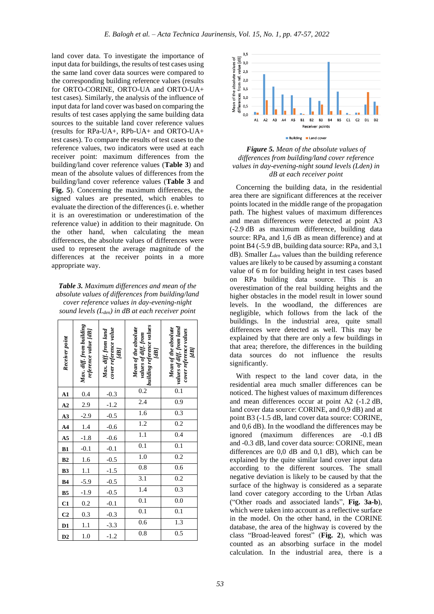land cover data. To investigate the importance of input data for buildings, the results of test cases using the same land cover data sources were compared to the corresponding building reference values (results for ORTO-CORINE, ORTO-UA and ORTO-UA+ test cases). Similarly, the analysis of the influence of input data for land cover was based on comparing the results of test cases applying the same building data sources to the suitable land cover reference values (results for RPa-UA+, RPb-UA+ and ORTO-UA+ test cases). To compare the results of test cases to the reference values, two indicators were used at each receiver point: maximum differences from the building/land cover reference values (**Table 3**) and mean of the absolute values of differences from the building/land cover reference values (**Table 3** and **Fig. 5**). Concerning the maximum differences, the signed values are presented, which enables to evaluate the direction of the differences (i. e. whether it is an overestimation or underestimation of the reference value) in addition to their magnitude. On the other hand, when calculating the mean differences, the absolute values of differences were used to represent the average magnitude of the differences at the receiver points in a more appropriate way.

*Table 3. Maximum differences and mean of the absolute values of differences from building/land cover reference values in day-evening-night sound levels (Lden) in dB at each receiver point*

| Receiver point         | Max. diff. from building<br>reference value [dB] | cover reference value<br>Max. diff. from land<br>[AB] | <b>building reference values</b><br>Mean of the absolute<br>values of diff. from<br>[dB] | values of diff. from land<br>Mean of the absolute<br>cover reference values<br>[dB] |  |
|------------------------|--------------------------------------------------|-------------------------------------------------------|------------------------------------------------------------------------------------------|-------------------------------------------------------------------------------------|--|
| ${\bf A1}$             | 0.4                                              | $-0.3$                                                | 0.2                                                                                      | 0.1                                                                                 |  |
| A2                     | 2.9                                              | $-1.2$                                                | 2.4                                                                                      | 0.9                                                                                 |  |
| $\overline{A3}$        |                                                  | $-0.5$                                                | 1.6                                                                                      | 0.3                                                                                 |  |
| $\mathbf{A}$ 4         | $-2.9$<br>1.4                                    | $-0.6$                                                | 1.2                                                                                      | 0.2                                                                                 |  |
| A <sub>5</sub>         | $-1.8$                                           | $-0.6$                                                | 1.1                                                                                      | 0.4                                                                                 |  |
| $\overline{B1}$        | $-0.1$                                           | $-0.1$                                                | $\overline{0.1}$                                                                         | 0.1                                                                                 |  |
| B2                     | 1.6                                              | $-0.5$                                                | 1.0                                                                                      | 0.2                                                                                 |  |
| B <sub>3</sub>         | 1.1                                              | $-1.5$                                                | 0.8                                                                                      | 0.6                                                                                 |  |
| B <sub>4</sub>         | $-5.9$                                           | $-0.5$                                                | 3.1                                                                                      | 0.2                                                                                 |  |
| $\overline{B5}$        | $-1.9$                                           | $-0.5$                                                | 1.4                                                                                      | 0.3                                                                                 |  |
| C1                     | 0.2                                              | $-0.1$                                                | 0.1                                                                                      | 0.0                                                                                 |  |
| $\overline{\text{C2}}$ | 0.3                                              | $-0.3$                                                | $\overline{0.1}$                                                                         | $\overline{0.1}$                                                                    |  |
| $\overline{D1}$        | 1.1                                              | $-3.3$                                                | 0.6                                                                                      | 1.3                                                                                 |  |
| $\overline{D2}$        | 1.0                                              | $-1.2$                                                | 0.8                                                                                      | 0.5                                                                                 |  |



# *Figure 5. Mean of the absolute values of differences from building/land cover reference values in day-evening-night sound levels (Lden) in dB at each receiver point*

Concerning the building data, in the residential area there are significant differences at the receiver points located in the middle range of the propagation path. The highest values of maximum differences and mean differences were detected at point A3 (-2.9 dB as maximum difference, building data source: RPa, and 1,6 dB as mean difference) and at point B4 (-5.9 dB, building data source: RPa, and 3,1 dB). Smaller *Lden* values than the building reference values are likely to be caused by assuming a constant value of 6 m for building height in test cases based on RPa building data source. This is an overestimation of the real building heights and the higher obstacles in the model result in lower sound levels. In the woodland, the differences are negligible, which follows from the lack of the buildings. In the industrial area, quite small differences were detected as well. This may be explained by that there are only a few buildings in that area; therefore, the differences in the building data sources do not influence the results significantly.

With respect to the land cover data, in the residential area much smaller differences can be noticed. The highest values of maximum differences and mean differences occur at point A2 (-1.2 dB, land cover data source: CORINE, and 0,9 dB) and at point B3 (-1.5 dB, land cover data source: CORINE, and 0,6 dB). In the woodland the differences may be ignored (maximum differences are -0.1 dB and -0.3 dB, land cover data source: CORINE, mean differences are 0,0 dB and 0,1 dB), which can be explained by the quite similar land cover input data according to the different sources. The small negative deviation is likely to be caused by that the surface of the highway is considered as a separate land cover category according to the Urban Atlas ("Other roads and associated lands", **Fig. 3a-b**), which were taken into account as a reflective surface in the model. On the other hand, in the CORINE database, the area of the highway is covered by the class "Broad-leaved forest" (**Fig. 2**), which was counted as an absorbing surface in the model calculation. In the industrial area, there is a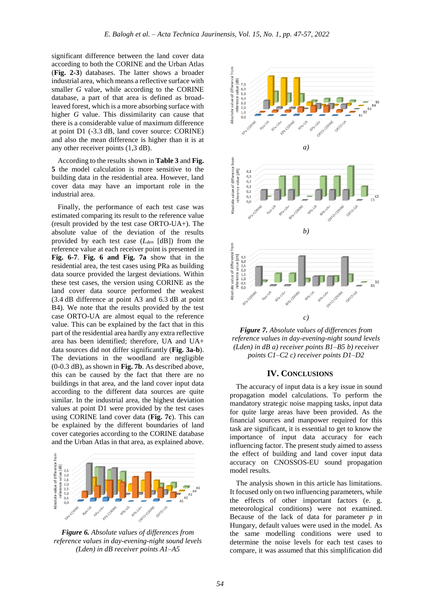significant difference between the land cover data according to both the CORINE and the Urban Atlas (**Fig. 2-3**) databases. The latter shows a broader industrial area, which means a reflective surface with smaller *G* value, while according to the CORINE database, a part of that area is defined as broadleaved forest, which is a more absorbing surface with higher *G* value. This dissimilarity can cause that there is a considerable value of maximum difference at point D1 (-3.3 dB, land cover source: CORINE) and also the mean difference is higher than it is at any other receiver points (1,3 dB).

According to the results shown in **Table 3** and **Fig. 5** the model calculation is more sensitive to the building data in the residential area. However, land cover data may have an important role in the industrial area.

Finally, the performance of each test case was estimated comparing its result to the reference value (result provided by the test case ORTO-UA+). The absolute value of the deviation of the results provided by each test case (*Lden* [dB]) from the reference value at each receiver point is presented in **Fig. 6-7**. **Fig. 6 and Fig. 7a** show that in the residential area, the test cases using PRa as building data source provided the largest deviations. Within these test cases, the version using CORINE as the land cover data source performed the weakest (3.4 dB difference at point A3 and 6.3 dB at point B4). We note that the results provided by the test case ORTO-UA are almost equal to the reference value. This can be explained by the fact that in this part of the residential area hardly any extra reflective area has been identified; therefore, UA and UA+ data sources did not differ significantly (**Fig. 3a-b**). The deviations in the woodland are negligible (0-0.3 dB), as shown in **Fig. 7b**. As described above, this can be caused by the fact that there are no buildings in that area, and the land cover input data according to the different data sources are quite similar. In the industrial area, the highest deviation values at point D1 were provided by the test cases using CORINE land cover data (**Fig. 7c**). This can be explained by the different boundaries of land cover categories according to the CORINE database and the Urban Atlas in that area, as explained above.



*Figure 6. Absolute values of differences from reference values in day-evening-night sound levels (Lden) in dB receiver points A1–A5*





## **IV. CONCLUSIONS**

The accuracy of input data is a key issue in sound propagation model calculations. To perform the mandatory strategic noise mapping tasks, input data for quite large areas have been provided. As the financial sources and manpower required for this task are significant, it is essential to get to know the importance of input data accuracy for each influencing factor. The present study aimed to assess the effect of building and land cover input data accuracy on CNOSSOS-EU sound propagation model results.

The analysis shown in this article has limitations. It focused only on two influencing parameters, while the effects of other important factors (e. g. meteorological conditions) were not examined. Because of the lack of data for parameter *p* in Hungary, default values were used in the model. As the same modelling conditions were used to determine the noise levels for each test cases to compare, it was assumed that this simplification did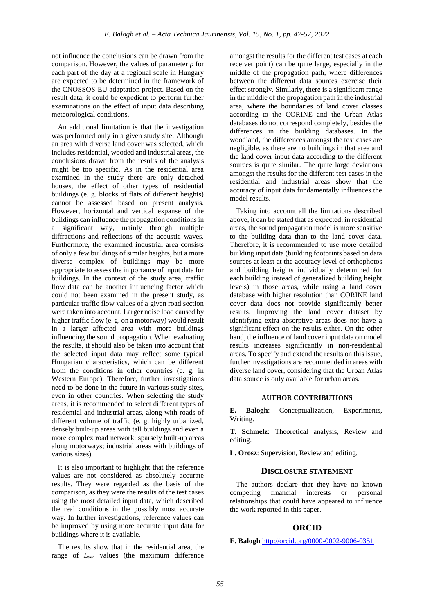not influence the conclusions can be drawn from the comparison. However, the values of parameter *p* for each part of the day at a regional scale in Hungary are expected to be determined in the framework of the CNOSSOS-EU adaptation project. Based on the result data, it could be expedient to perform further examinations on the effect of input data describing meteorological conditions.

An additional limitation is that the investigation was performed only in a given study site. Although an area with diverse land cover was selected, which includes residential, wooded and industrial areas, the conclusions drawn from the results of the analysis might be too specific. As in the residential area examined in the study there are only detached houses, the effect of other types of residential buildings (e. g. blocks of flats of different heights) cannot be assessed based on present analysis. However, horizontal and vertical expanse of the buildings can influence the propagation conditions in a significant way, mainly through multiple diffractions and reflections of the acoustic waves. Furthermore, the examined industrial area consists of only a few buildings of similar heights, but a more diverse complex of buildings may be more appropriate to assess the importance of input data for buildings. In the context of the study area, traffic flow data can be another influencing factor which could not been examined in the present study, as particular traffic flow values of a given road section were taken into account. Larger noise load caused by higher traffic flow (e. g. on a motorway) would result in a larger affected area with more buildings influencing the sound propagation. When evaluating the results, it should also be taken into account that the selected input data may reflect some typical Hungarian characteristics, which can be different from the conditions in other countries (e. g. in Western Europe). Therefore, further investigations need to be done in the future in various study sites, even in other countries. When selecting the study areas, it is recommended to select different types of residential and industrial areas, along with roads of different volume of traffic (e. g. highly urbanized, densely built-up areas with tall buildings and even a more complex road network; sparsely built-up areas along motorways; industrial areas with buildings of various sizes).

It is also important to highlight that the reference values are not considered as absolutely accurate results. They were regarded as the basis of the comparison, as they were the results of the test cases using the most detailed input data, which described the real conditions in the possibly most accurate way. In further investigations, reference values can be improved by using more accurate input data for buildings where it is available.

The results show that in the residential area, the range of *Lden* values (the maximum difference

amongst the results for the different test cases at each receiver point) can be quite large, especially in the middle of the propagation path, where differences between the different data sources exercise their effect strongly. Similarly, there is a significant range in the middle of the propagation path in the industrial area, where the boundaries of land cover classes according to the CORINE and the Urban Atlas databases do not correspond completely, besides the differences in the building databases. In the woodland, the differences amongst the test cases are negligible, as there are no buildings in that area and the land cover input data according to the different sources is quite similar. The quite large deviations amongst the results for the different test cases in the residential and industrial areas show that the accuracy of input data fundamentally influences the model results.

Taking into account all the limitations described above, it can be stated that as expected, in residential areas, the sound propagation model is more sensitive to the building data than to the land cover data. Therefore, it is recommended to use more detailed building input data (building footprints based on data sources at least at the accuracy level of orthophotos and building heights individually determined for each building instead of generalized building height levels) in those areas, while using a land cover database with higher resolution than CORINE land cover data does not provide significantly better results. Improving the land cover dataset by identifying extra absorptive areas does not have a significant effect on the results either. On the other hand, the influence of land cover input data on model results increases significantly in non-residential areas. To specify and extend the results on this issue, further investigations are recommended in areas with diverse land cover, considering that the Urban Atlas data source is only available for urban areas.

## **AUTHOR CONTRIBUTIONS**

**E. Balogh**: Conceptualization, Experiments, Writing.

**T. Schmelz**: Theoretical analysis, Review and editing.

**L. Orosz**: Supervision, Review and editing.

#### **DISCLOSURE STATEMENT**

The authors declare that they have no known competing financial interests or personal relationships that could have appeared to influence the work reported in this paper.

#### **ORCID**

**E. Balogh** <http://orcid.org/0000-0002-9006-0351>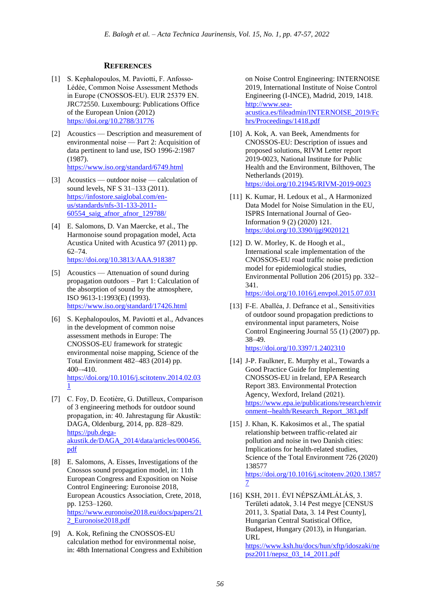# **REFERENCES**

- [1] S. Kephalopoulos, M. Paviotti, F. Anfosso-Lédée, Common Noise Assessment Methods in Europe (CNOSSOS‐EU). EUR 25379 EN. JRC72550. Luxembourg: Publications Office of the European Union (2012) <https://doi.org/10.2788/31776>
- [2] Acoustics Description and measurement of environmental noise — Part 2: Acquisition of data pertinent to land use, ISO 1996-2:1987 (1987). <https://www.iso.org/standard/6749.html>
- [3] Acoustics outdoor noise calculation of sound levels, NF S 31–133 (2011). [https://infostore.saiglobal.com/en](https://infostore.saiglobal.com/en-us/standards/nfs-31-133-2011-60554_saig_afnor_afnor_129788/)[us/standards/nfs-31-133-2011-](https://infostore.saiglobal.com/en-us/standards/nfs-31-133-2011-60554_saig_afnor_afnor_129788/) [60554\\_saig\\_afnor\\_afnor\\_129788/](https://infostore.saiglobal.com/en-us/standards/nfs-31-133-2011-60554_saig_afnor_afnor_129788/)
- [4] E. Salomons, D. Van Maercke, et al., The Harmonoise sound propagation model, Acta Acustica United with Acustica 97 (2011) pp. 62–74. <https://doi.org/10.3813/AAA.918387>
- [5] Acoustics Attenuation of sound during propagation outdoors – Part 1: Calculation of the absorption of sound by the atmosphere, ISO 9613-1:1993(E) (1993). <https://www.iso.org/standard/17426.html>
- [6] S. Kephalopoulos, M. Paviotti et al., Advances in the development of common noise assessment methods in Europe: The CNOSSOS-EU framework for strategic environmental noise mapping, Science of the Total Environment 482–483 (2014) pp. 400–-410. [https://doi.org/10.1016/j.scitotenv.2014.02.03](https://doi.org/10.1016/j.scitotenv.2014.02.031) [1](https://doi.org/10.1016/j.scitotenv.2014.02.031)
- [7] C. Foy, D. Ecotière, G. Dutilleux, Comparison of 3 engineering methods for outdoor sound propagation, in: 40. Jahrestagung für Akustik: DAGA, Oldenburg, 2014, pp. 828–829. [https://pub.dega](https://pub.dega-akustik.de/DAGA_2014/data/articles/000456.pdf)[akustik.de/DAGA\\_2014/data/articles/000456.](https://pub.dega-akustik.de/DAGA_2014/data/articles/000456.pdf) [pdf](https://pub.dega-akustik.de/DAGA_2014/data/articles/000456.pdf)
- [8] E. Salomons, A. Eisses, Investigations of the Cnossos sound propagation model, in: 11th European Congress and Exposition on Noise Control Engineering: Euronoise 2018, European Acoustics Association, Crete, 2018, pp. 1253–1260. [https://www.euronoise2018.eu/docs/papers/21](https://www.euronoise2018.eu/docs/papers/212_Euronoise2018.pdf) [2\\_Euronoise2018.pdf](https://www.euronoise2018.eu/docs/papers/212_Euronoise2018.pdf)
- [9] A. Kok, Refining the CNOSSOS-EU calculation method for environmental noise, in: 48th International Congress and Exhibition

on Noise Control Engineering: INTERNOISE 2019, International Institute of Noise Control Engineering (I-INCE), Madrid, 2019, 1418. [http://www.sea](http://www.sea-acustica.es/fileadmin/INTERNOISE_2019/Fchrs/Proceedings/1418.pdf)[acustica.es/fileadmin/INTERNOISE\\_2019/Fc](http://www.sea-acustica.es/fileadmin/INTERNOISE_2019/Fchrs/Proceedings/1418.pdf) [hrs/Proceedings/1418.pdf](http://www.sea-acustica.es/fileadmin/INTERNOISE_2019/Fchrs/Proceedings/1418.pdf)

- [10] A. Kok, A. van Beek, Amendments for CNOSSOS-EU: Description of issues and proposed solutions, RIVM Letter report 2019-0023, National Institute for Public Health and the Environment, Bilthoven, The Netherlands (2019). [https://doi.org/10.21945/RIVM-2019-0023](https://doi.org/10.21945/RIVM20190023)
- [11] K. Kumar, H. Ledoux et al., A Harmonized Data Model for Noise Simulation in the EU, ISPRS International Journal of Geo-Information 9 (2) (2020) 121. <https://doi.org/10.3390/ijgi9020121>
- [12] D. W. Morley, K. de Hoogh et al., International scale implementation of the CNOSSOS-EU road traffic noise prediction model for epidemiological studies, Environmental Pollution 206 (2015) pp. 332– 341. <https://doi.org/10.1016/j.envpol.2015.07.031>
- [13] F-E. Aballéa, J. Defrance et al., Sensitivities of outdoor sound propagation predictions to environmental input parameters, Noise Control Engineering Journal 55 (1) (2007) pp. 38–49. <https://doi.org/10.3397/1.2402310>
- [14] J-P. Faulkner, E. Murphy et al., Towards a Good Practice Guide for Implementing CNOSSOS-EU in Ireland, EPA Research Report 383. Environmental Protection Agency, Wexford, Ireland (2021). [https://www.epa.ie/publications/research/envir](https://www.epa.ie/publications/research/environment--health/Research_Report_383.pdf) [onment--health/Research\\_Report\\_383.pdf](https://www.epa.ie/publications/research/environment--health/Research_Report_383.pdf)
- [15] J. Khan, K. Kakosimos et al., The spatial relationship between traffic-related air pollution and noise in two Danish cities: Implications for health-related studies, Science of the Total Environment 726 (2020) 138577 [https://doi.org/10.1016/j.scitotenv.2020.13857](https://doi.org/10.1016/j.scitotenv.2020.138577) [7](https://doi.org/10.1016/j.scitotenv.2020.138577)
- [16] KSH, 2011. ÉVI NÉPSZÁMLÁLÁS, 3. Területi adatok, 3.14 Pest megye [CENSUS 2011, 3. Spatial Data, 3. 14 Pest County], Hungarian Central Statistical Office, Budapest, Hungary (2013), in Hungarian. URL

[https://www.ksh.hu/docs/hun/xftp/idoszaki/ne](https://www.ksh.hu/docs/hun/xftp/idoszaki/nepsz2011/nepsz_03_14_2011.pdf) [psz2011/nepsz\\_03\\_14\\_2011.pdf](https://www.ksh.hu/docs/hun/xftp/idoszaki/nepsz2011/nepsz_03_14_2011.pdf)